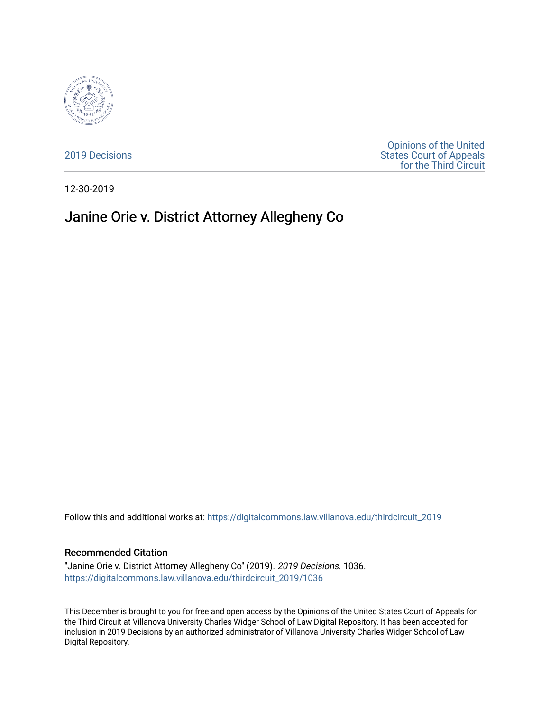

[2019 Decisions](https://digitalcommons.law.villanova.edu/thirdcircuit_2019)

[Opinions of the United](https://digitalcommons.law.villanova.edu/thirdcircuit)  [States Court of Appeals](https://digitalcommons.law.villanova.edu/thirdcircuit)  [for the Third Circuit](https://digitalcommons.law.villanova.edu/thirdcircuit) 

12-30-2019

# Janine Orie v. District Attorney Allegheny Co

Follow this and additional works at: [https://digitalcommons.law.villanova.edu/thirdcircuit\\_2019](https://digitalcommons.law.villanova.edu/thirdcircuit_2019?utm_source=digitalcommons.law.villanova.edu%2Fthirdcircuit_2019%2F1036&utm_medium=PDF&utm_campaign=PDFCoverPages) 

#### Recommended Citation

"Janine Orie v. District Attorney Allegheny Co" (2019). 2019 Decisions. 1036. [https://digitalcommons.law.villanova.edu/thirdcircuit\\_2019/1036](https://digitalcommons.law.villanova.edu/thirdcircuit_2019/1036?utm_source=digitalcommons.law.villanova.edu%2Fthirdcircuit_2019%2F1036&utm_medium=PDF&utm_campaign=PDFCoverPages) 

This December is brought to you for free and open access by the Opinions of the United States Court of Appeals for the Third Circuit at Villanova University Charles Widger School of Law Digital Repository. It has been accepted for inclusion in 2019 Decisions by an authorized administrator of Villanova University Charles Widger School of Law Digital Repository.